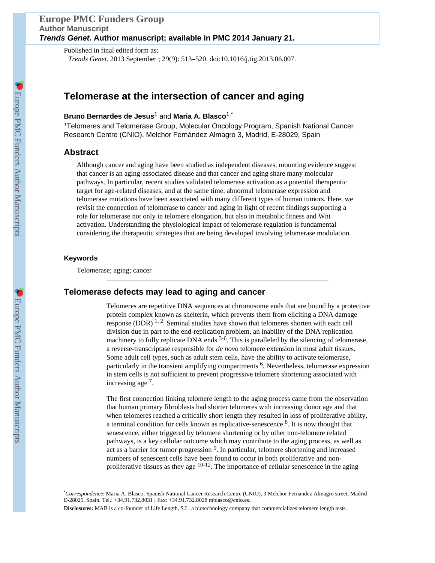Published in final edited form as: *Trends Genet*. 2013 September ; 29(9): 513–520. doi:10.1016/j.tig.2013.06.007.

# **Telomerase at the intersection of cancer and aging**

# **Bruno Bernardes de Jesus**1 and **Maria A. Blasco**1,\*

<sup>1</sup>Telomeres and Telomerase Group, Molecular Oncology Program, Spanish National Cancer Research Centre (CNIO), Melchor Fernández Almagro 3, Madrid, E-28029, Spain

# **Abstract**

Although cancer and aging have been studied as independent diseases, mounting evidence suggest that cancer is an aging-associated disease and that cancer and aging share many molecular pathways. In particular, recent studies validated telomerase activation as a potential therapeutic target for age-related diseases, and at the same time, abnormal telomerase expression and telomerase mutations have been associated with many different types of human tumors. Here, we revisit the connection of telomerase to cancer and aging in light of recent findings supporting a role for telomerase not only in telomere elongation, but also in metabolic fitness and Wnt activation. Understanding the physiological impact of telomerase regulation is fundamental considering the therapeutic strategies that are being developed involving telomerase modulation.

#### **Keywords**

Telomerase; aging; cancer

# **Telomerase defects may lead to aging and cancer**

Telomeres are repetitive DNA sequences at chromosome ends that are bound by a protective protein complex known as shelterin, which prevents them from eliciting a DNA damage response (DDR)  $^{1, 2}$ . Seminal studies have shown that telomeres shorten with each cell division due in part to the end-replication problem, an inability of the DNA replication machinery to fully replicate DNA ends  $3-6$ . This is paralleled by the silencing of telomerase, a reverse-transcriptase responsible for *de novo* telomere extension in most adult tissues. Some adult cell types, such as adult stem cells, have the ability to activate telomerase, particularly in the transient amplifying compartments <sup>6</sup>. Nevertheless, telomerase expression in stem cells is not sufficient to prevent progressive telomere shortening associated with increasing age<sup>7</sup>.

The first connection linking telomere length to the aging process came from the observation that human primary fibroblasts had shorter telomeres with increasing donor age and that when telomeres reached a critically short length they resulted in loss of proliferative ability, a terminal condition for cells known as replicative-senescence <sup>8</sup>. It is now thought that senescence, either triggered by telomere shortening or by other non-telomere related pathways, is a key cellular outcome which may contribute to the aging process, as well as act as a barrier for tumor progression <sup>9</sup>. In particular, telomere shortening and increased numbers of senescent cells have been found to occur in both proliferative and nonproliferative tissues as they age  $10-12$ . The importance of cellular senescence in the aging

<sup>\*</sup>*Correspondence*: Maria A. Blasco, Spanish National Cancer Research Centre (CNIO), 3 Melchor Fernandez Almagro street, Madrid E-28029, Spain. Tel.: +34.91.732.8031 ; Fax: +34.91.732.8028 mblasco@cnio.es.

**Disclosures:** MAB is a co-founder of Life Length, S.L. a biotechnology company that commercializes telomere length tests.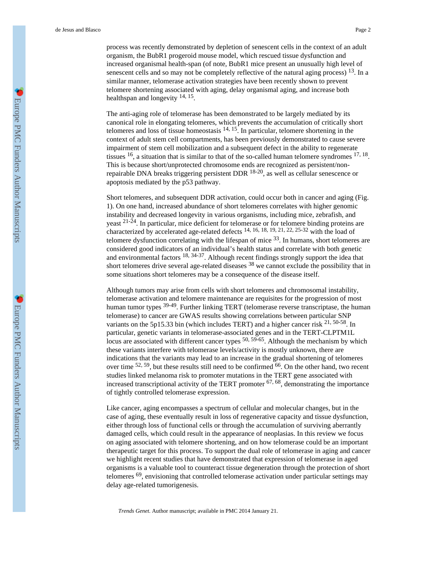process was recently demonstrated by depletion of senescent cells in the context of an adult organism, the BubR1 progeroid mouse model, which rescued tissue dysfunction and increased organismal health-span (of note, BubR1 mice present an unusually high level of senescent cells and so may not be completely reflective of the natural aging process)  $^{13}$ . In a similar manner, telomerase activation strategies have been recently shown to prevent telomere shortening associated with aging, delay organismal aging, and increase both healthspan and longevity <sup>14, 15</sup>.

The anti-aging role of telomerase has been demonstrated to be largely mediated by its canonical role in elongating telomeres, which prevents the accumulation of critically short telomeres and loss of tissue homeostasis  $14$ ,  $15$ . In particular, telomere shortening in the context of adult stem cell compartments, has been previously demonstrated to cause severe impairment of stem cell mobilization and a subsequent defect in the ability to regenerate tissues  $16$ , a situation that is similar to that of the so-called human telomere syndromes  $17$ ,  $18$ . This is because short/unprotected chromosome ends are recognized as persistent/nonrepairable DNA breaks triggering persistent DDR 18-20, as well as cellular senescence or apoptosis mediated by the p53 pathway.

Short telomeres, and subsequent DDR activation, could occur both in cancer and aging (Fig. 1). On one hand, increased abundance of short telomeres correlates with higher genomic instability and decreased longevity in various organisms, including mice, zebrafish, and yeast 21-24. In particular, mice deficient for telomerase or for telomere binding proteins are characterized by accelerated age-related defects 14, 16, 18, 19, 21, 22, 25-32 with the load of telomere dysfunction correlating with the lifespan of mice  $33$ . In humans, short telomeres are considered good indicators of an individual's health status and correlate with both genetic and environmental factors 18, 34-37. Although recent findings strongly support the idea that short telomeres drive several age-related diseases  $38$  we cannot exclude the possibility that in some situations short telomeres may be a consequence of the disease itself.

Although tumors may arise from cells with short telomeres and chromosomal instability, telomerase activation and telomere maintenance are requisites for the progression of most human tumor types 39-49. Further linking TERT (telomerase reverse transcriptase, the human telomerase) to cancer are GWAS results showing correlations between particular SNP variants on the 5p15.33 bin (which includes TERT) and a higher cancer risk <sup>21, 50-58</sup>. In particular, genetic variants in telomerase-associated genes and in the TERT-CLPTM1L locus are associated with different cancer types  $50, 59.65$ . Although the mechanism by which these variants interfere with telomerase levels/activity is mostly unknown, there are indications that the variants may lead to an increase in the gradual shortening of telomeres over time <sup>52, 59</sup>, but these results still need to be confirmed <sup>66</sup>. On the other hand, two recent studies linked melanoma risk to promoter mutations in the TERT gene associated with increased transcriptional activity of the TERT promoter  $67, 68$ , demonstrating the importance of tightly controlled telomerase expression.

Like cancer, aging encompasses a spectrum of cellular and molecular changes, but in the case of aging, these eventually result in loss of regenerative capacity and tissue dysfunction, either through loss of functional cells or through the accumulation of surviving aberrantly damaged cells, which could result in the appearance of neoplasias. In this review we focus on aging associated with telomere shortening, and on how telomerase could be an important therapeutic target for this process. To support the dual role of telomerase in aging and cancer we highlight recent studies that have demonstrated that expression of telomerase in aged organisms is a valuable tool to counteract tissue degeneration through the protection of short telomeres 69, envisioning that controlled telomerase activation under particular settings may delay age-related tumorigenesis.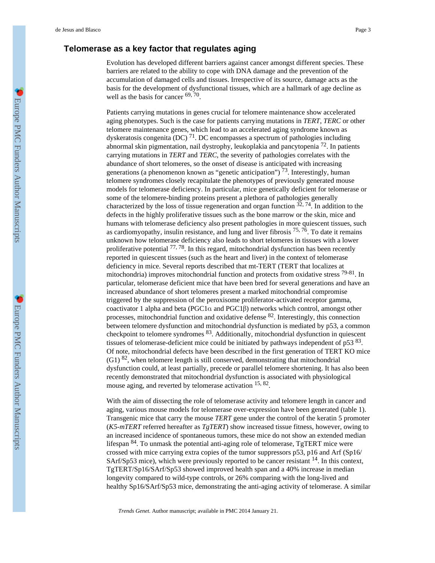# **Telomerase as a key factor that regulates aging**

Evolution has developed different barriers against cancer amongst different species. These barriers are related to the ability to cope with DNA damage and the prevention of the accumulation of damaged cells and tissues. Irrespective of its source, damage acts as the basis for the development of dysfunctional tissues, which are a hallmark of age decline as well as the basis for cancer  $69, 70$ .

Patients carrying mutations in genes crucial for telomere maintenance show accelerated aging phenotypes. Such is the case for patients carrying mutations in *TERT*, *TERC* or other telomere maintenance genes, which lead to an accelerated aging syndrome known as dyskeratosis congenita (DC)  $^{71}$ . DC encompasses a spectrum of pathologies including abnormal skin pigmentation, nail dystrophy, leukoplakia and pancytopenia 72. In patients carrying mutations in *TERT* and *TERC*, the severity of pathologies correlates with the abundance of short telomeres, so the onset of disease is anticipated with increasing generations (a phenomenon known as "genetic anticipation")  $\frac{73}{3}$ . Interestingly, human telomere syndromes closely recapitulate the phenotypes of previously generated mouse models for telomerase deficiency. In particular, mice genetically deficient for telomerase or some of the telomere-binding proteins present a plethora of pathologies generally characterized by the loss of tissue regeneration and organ function  $32, 74$ . In addition to the defects in the highly proliferative tissues such as the bone marrow or the skin, mice and humans with telomerase deficiency also present pathologies in more quiescent tissues, such as cardiomyopathy, insulin resistance, and lung and liver fibrosis  $^{75, 76}$ . To date it remains unknown how telomerase deficiency also leads to short telomeres in tissues with a lower proliferative potential  $^{77,78}$ . In this regard, mitochondrial dysfunction has been recently reported in quiescent tissues (such as the heart and liver) in the context of telomerase deficiency in mice. Several reports described that mt-TERT (TERT that localizes at mitochondria) improves mitochondrial function and protects from oxidative stress  $79-81$ . In particular, telomerase deficient mice that have been bred for several generations and have an increased abundance of short telomeres present a marked mitochondrial compromise triggered by the suppression of the peroxisome proliferator-activated receptor gamma, coactivator 1 alpha and beta (PGC1α and PGC1β) networks which control, amongst other processes, mitochondrial function and oxidative defense 82. Interestingly, this connection between telomere dysfunction and mitochondrial dysfunction is mediated by p53, a common checkpoint to telomere syndromes 83. Additionally, mitochondrial dysfunction in quiescent tissues of telomerase-deficient mice could be initiated by pathways independent of  $p53^{83}$ . Of note, mitochondrial defects have been described in the first generation of TERT KO mice  $(G1)$  82, when telomere length is still conserved, demonstrating that mitochondrial dysfunction could, at least partially, precede or parallel telomere shortening. It has also been recently demonstrated that mitochondrial dysfunction is associated with physiological mouse aging, and reverted by telomerase activation <sup>15, 82</sup>.

With the aim of dissecting the role of telomerase activity and telomere length in cancer and aging, various mouse models for telomerase over-expression have been generated (table 1). Transgenic mice that carry the mouse *TERT* gene under the control of the keratin 5 promoter (*K5-mTERT* referred hereafter as *TgTERT*) show increased tissue fitness, however, owing to an increased incidence of spontaneous tumors, these mice do not show an extended median lifespan 84. To unmask the potential anti-aging role of telomerase, TgTERT mice were crossed with mice carrying extra copies of the tumor suppressors p53, p16 and Arf (Sp16/ SArf/Sp53 mice), which were previously reported to be cancer resistant <sup>14</sup>. In this context, TgTERT/Sp16/SArf/Sp53 showed improved health span and a 40% increase in median longevity compared to wild-type controls, or 26% comparing with the long-lived and healthy Sp16/SArf/Sp53 mice, demonstrating the anti-aging activity of telomerase. A similar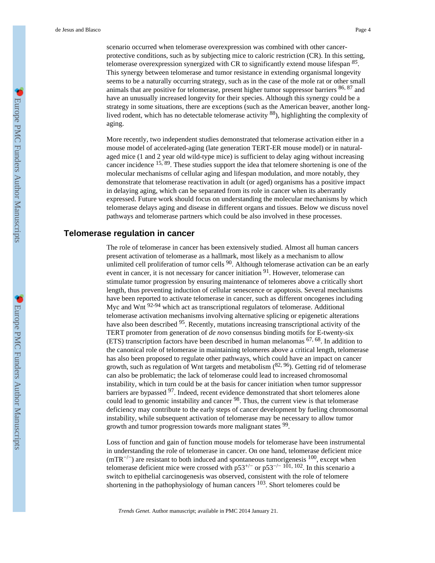scenario occurred when telomerase overexpression was combined with other cancerprotective conditions, such as by subjecting mice to caloric restriction (CR). In this setting, telomerase overexpression synergized with CR to significantly extend mouse lifespan *<sup>85</sup>* . This synergy between telomerase and tumor resistance in extending organismal longevity seems to be a naturally occurring strategy, such as in the case of the mole rat or other small animals that are positive for telomerase, present higher tumor suppressor barriers <sup>86, 87</sup> and have an unusually increased longevity for their species. Although this synergy could be a strategy in some situations, there are exceptions (such as the American beaver, another longlived rodent, which has no detectable telomerase activity <sup>88</sup>), highlighting the complexity of aging.

More recently, two independent studies demonstrated that telomerase activation either in a mouse model of accelerated-aging (late generation TERT-ER mouse model) or in naturalaged mice (1 and 2 year old wild-type mice) is sufficient to delay aging without increasing cancer incidence 15, 89. These studies support the idea that telomere shortening is one of the molecular mechanisms of cellular aging and lifespan modulation, and more notably, they demonstrate that telomerase reactivation in adult (or aged) organisms has a positive impact in delaying aging, which can be separated from its role in cancer when its aberrantly expressed. Future work should focus on understanding the molecular mechanisms by which telomerase delays aging and disease in different organs and tissues. Below we discuss novel pathways and telomerase partners which could be also involved in these processes.

# **Telomerase regulation in cancer**

The role of telomerase in cancer has been extensively studied. Almost all human cancers present activation of telomerase as a hallmark, most likely as a mechanism to allow unlimited cell proliferation of tumor cells <sup>90</sup>. Although telomerase activation can be an early event in cancer, it is not necessary for cancer initiation <sup>91</sup>. However, telomerase can stimulate tumor progression by ensuring maintenance of telomeres above a critically short length, thus preventing induction of cellular senescence or apoptosis. Several mechanisms have been reported to activate telomerase in cancer, such as different oncogenes including Myc and Wnt <sup>92-94</sup> which act as transcriptional regulators of telomerase. Additional telomerase activation mechanisms involving alternative splicing or epigenetic alterations have also been described <sup>95</sup>. Recently, mutations increasing transcriptional activity of the TERT promoter from generation of *de novo* consensus binding motifs for E-twenty-six (ETS) transcription factors have been described in human melanomas  $^{67,68}$ . In addition to the canonical role of telomerase in maintaining telomeres above a critical length, telomerase has also been proposed to regulate other pathways, which could have an impact on cancer growth, such as regulation of Wnt targets and metabolism  $(^{82, 96})$ . Getting rid of telomerase can also be problematic; the lack of telomerase could lead to increased chromosomal instability, which in turn could be at the basis for cancer initiation when tumor suppressor barriers are bypassed <sup>97</sup>. Indeed, recent evidence demonstrated that short telomeres alone could lead to genomic instability and cancer 98. Thus, the current view is that telomerase deficiency may contribute to the early steps of cancer development by fueling chromosomal instability, while subsequent activation of telomerase may be necessary to allow tumor growth and tumor progression towards more malignant states <sup>99</sup>.

Loss of function and gain of function mouse models for telomerase have been instrumental in understanding the role of telomerase in cancer. On one hand, telomerase deficient mice  $(mTR<sup>-/-</sup>)$  are resistant to both induced and spontaneous tumorigenesis  $100$ , except when telomerase deficient mice were crossed with p53<sup>+/−</sup> or p53<sup>-/−</sup> 101, 102. In this scenario a switch to epithelial carcinogenesis was observed, consistent with the role of telomere shortening in the pathophysiology of human cancers  $103$ . Short telomeres could be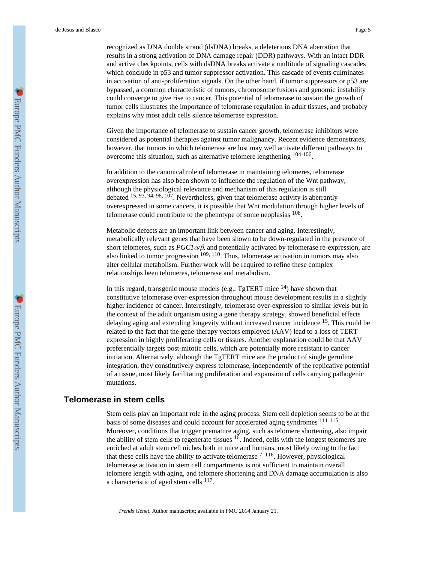recognized as DNA double strand (dsDNA) breaks, a deleterious DNA aberration that results in a strong activation of DNA damage repair (DDR) pathways. With an intact DDR and active checkpoints, cells with dsDNA breaks activate a multitude of signaling cascades which conclude in  $p53$  and tumor suppressor activation. This cascade of events culminates in activation of anti-proliferation signals. On the other hand, if tumor suppressors or p53 are bypassed, a common characteristic of tumors, chromosome fusions and genomic instability could converge to give rise to cancer. This potential of telomerase to sustain the growth of tumor cells illustrates the importance of telomerase regulation in adult tissues, and probably explains why most adult cells silence telomerase expression.

Given the importance of telomerase to sustain cancer growth, telomerase inhibitors were considered as potential therapies against tumor malignancy. Recent evidence demonstrates, however, that tumors in which telomerase are lost may well activate different pathways to overcome this situation, such as alternative telomere lengthening  $104-106$ .

In addition to the canonical role of telomerase in maintaining telomeres, telomerase overexpression has also been shown to influence the regulation of the Wnt pathway, although the physiological relevance and mechanism of this regulation is still debated  $15, 93, 94, 96, 107$ . Nevertheless, given that telomerase activity is aberrantly overexpressed in some cancers, it is possible that Wnt modulation through higher levels of telomerase could contribute to the phenotype of some neoplasias  $108$ .

Metabolic defects are an important link between cancer and aging. Interestingly, metabolically relevant genes that have been shown to be down-regulated in the presence of short telomeres, such as *PGC1*α*/*β, and potentially activated by telomerase re-expression, are also linked to tumor progression  $109, 110$ . Thus, telomerase activation in tumors may also alter cellular metabolism. Further work will be required to refine these complex relationships been telomeres, telomerase and metabolism.

In this regard, transgenic mouse models (e.g.,  $TgTERT$  mice  $^{14}$ ) have shown that constitutive telomerase over-expression throughout mouse development results in a slightly higher incidence of cancer. Interestingly, telomerase over-expression to similar levels but in the context of the adult organism using a gene therapy strategy, showed beneficial effects delaying aging and extending longevity without increased cancer incidence 15. This could be related to the fact that the gene-therapy vectors employed (AAV) lead to a loss of TERT expression in highly proliferating cells or tissues. Another explanation could be that AAV preferentially targets post-mitotic cells, which are potentially more resistant to cancer initiation. Alternatively, although the TgTERT mice are the product of single germline integration, they constitutively express telomerase, independently of the replicative potential of a tissue, most likely facilitating proliferation and expansion of cells carrying pathogenic mutations.

#### **Telomerase in stem cells**

Stem cells play an important role in the aging process. Stem cell depletion seems to be at the basis of some diseases and could account for accelerated aging syndromes  $^{111-115}$ . Moreover, conditions that trigger premature aging, such as telomere shortening, also impair the ability of stem cells to regenerate tissues  $^{16}$ . Indeed, cells with the longest telomeres are enriched at adult stem cell niches both in mice and humans, most likely owing to the fact that these cells have the ability to activate telomerase  $7,116$ . However, physiological telomerase activation in stem cell compartments is not sufficient to maintain overall telomere length with aging, and telomere shortening and DNA damage accumulation is also a characteristic of aged stem cells <sup>117</sup>.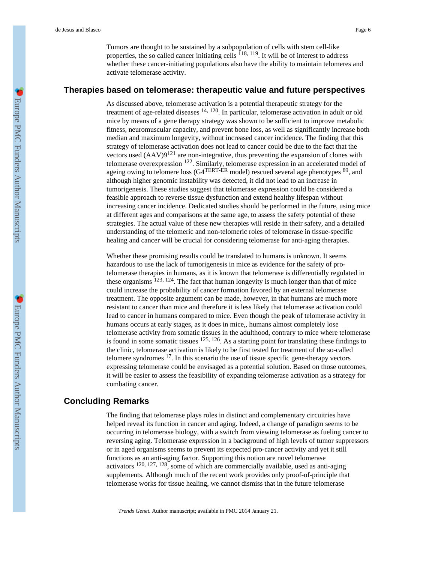Tumors are thought to be sustained by a subpopulation of cells with stem cell-like properties, the so called cancer initiating cells  $^{118, 119}$ . It will be of interest to address whether these cancer-initiating populations also have the ability to maintain telomeres and activate telomerase activity.

### **Therapies based on telomerase: therapeutic value and future perspectives**

As discussed above, telomerase activation is a potential therapeutic strategy for the treatment of age-related diseases 14, 120. In particular, telomerase activation in adult or old mice by means of a gene therapy strategy was shown to be sufficient to improve metabolic fitness, neuromuscular capacity, and prevent bone loss, as well as significantly increase both median and maximum longevity, without increased cancer incidence. The finding that this strategy of telomerase activation does not lead to cancer could be due to the fact that the vectors used  $(AAV)9^{121}$  are non-integrative, thus preventing the expansion of clones with telomerase overexpression 122. Similarly, telomerase expression in an accelerated model of ageing owing to telomere loss (G4<sup>TERT-ER</sup> model) rescued several age phenotypes <sup>89</sup>, and although higher genomic instability was detected, it did not lead to an increase in tumorigenesis. These studies suggest that telomerase expression could be considered a feasible approach to reverse tissue dysfunction and extend healthy lifespan without increasing cancer incidence. Dedicated studies should be performed in the future, using mice at different ages and comparisons at the same age, to assess the safety potential of these strategies. The actual value of these new therapies will reside in their safety, and a detailed understanding of the telomeric and non-telomeric roles of telomerase in tissue-specific healing and cancer will be crucial for considering telomerase for anti-aging therapies.

Whether these promising results could be translated to humans is unknown. It seems hazardous to use the lack of tumorigenesis in mice as evidence for the safety of protelomerase therapies in humans, as it is known that telomerase is differentially regulated in these organisms  $123$ ,  $124$ . The fact that human longevity is much longer than that of mice could increase the probability of cancer formation favored by an external telomerase treatment. The opposite argument can be made, however, in that humans are much more resistant to cancer than mice and therefore it is less likely that telomerase activation could lead to cancer in humans compared to mice. Even though the peak of telomerase activity in humans occurs at early stages, as it does in mice,, humans almost completely lose telomerase activity from somatic tissues in the adulthood, contrary to mice where telomerase is found in some somatic tissues  $125, 126$ . As a starting point for translating these findings to the clinic, telomerase activation is likely to be first tested for treatment of the so-called telomere syndromes  $17$ . In this scenario the use of tissue specific gene-therapy vectors expressing telomerase could be envisaged as a potential solution. Based on those outcomes, it will be easier to assess the feasibility of expanding telomerase activation as a strategy for combating cancer.

## **Concluding Remarks**

The finding that telomerase plays roles in distinct and complementary circuitries have helped reveal its function in cancer and aging. Indeed, a change of paradigm seems to be occurring in telomerase biology, with a switch from viewing telomerase as fueling cancer to reversing aging. Telomerase expression in a background of high levels of tumor suppressors or in aged organisms seems to prevent its expected pro-cancer activity and yet it still functions as an anti-aging factor. Supporting this notion are novel telomerase activators 120, 127, 128, some of which are commercially available, used as anti-aging supplements. Although much of the recent work provides only proof-of-principle that telomerase works for tissue healing, we cannot dismiss that in the future telomerase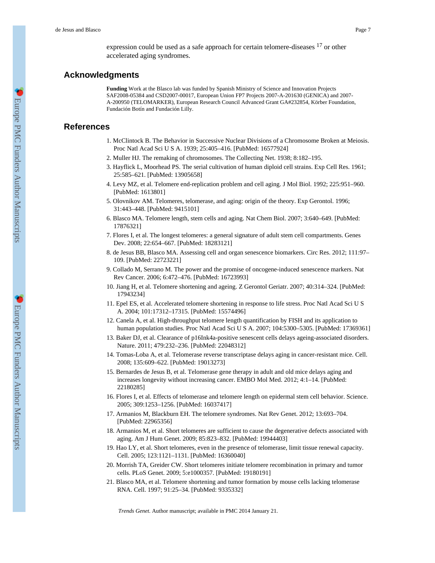expression could be used as a safe approach for certain telomere-diseases 17 or other accelerated aging syndromes.

## **Acknowledgments**

**Funding** Work at the Blasco lab was funded by Spanish Ministry of Science and Innovation Projects SAF2008-05384 and CSD2007-00017, European Union FP7 Projects 2007-A-201630 (GENICA) and 2007- A-200950 (TELOMARKER), European Research Council Advanced Grant GA#232854, Körber Foundation, Fundación Botín and Fundación Lilly.

### **References**

- 1. McClintock B. The Behavior in Successive Nuclear Divisions of a Chromosome Broken at Meiosis. Proc Natl Acad Sci U S A. 1939; 25:405–416. [PubMed: 16577924]
- 2. Muller HJ. The remaking of chromosomes. The Collecting Net. 1938; 8:182–195.
- 3. Hayflick L, Moorhead PS. The serial cultivation of human diploid cell strains. Exp Cell Res. 1961; 25:585–621. [PubMed: 13905658]
- 4. Levy MZ, et al. Telomere end-replication problem and cell aging. J Mol Biol. 1992; 225:951–960. [PubMed: 1613801]
- 5. Olovnikov AM. Telomeres, telomerase, and aging: origin of the theory. Exp Gerontol. 1996; 31:443–448. [PubMed: 9415101]
- 6. Blasco MA. Telomere length, stem cells and aging. Nat Chem Biol. 2007; 3:640–649. [PubMed: 17876321]
- 7. Flores I, et al. The longest telomeres: a general signature of adult stem cell compartments. Genes Dev. 2008; 22:654–667. [PubMed: 18283121]
- 8. de Jesus BB, Blasco MA. Assessing cell and organ senescence biomarkers. Circ Res. 2012; 111:97– 109. [PubMed: 22723221]
- 9. Collado M, Serrano M. The power and the promise of oncogene-induced senescence markers. Nat Rev Cancer. 2006; 6:472–476. [PubMed: 16723993]
- 10. Jiang H, et al. Telomere shortening and ageing. Z Gerontol Geriatr. 2007; 40:314–324. [PubMed: 17943234]
- 11. Epel ES, et al. Accelerated telomere shortening in response to life stress. Proc Natl Acad Sci U S A. 2004; 101:17312–17315. [PubMed: 15574496]
- 12. Canela A, et al. High-throughput telomere length quantification by FISH and its application to human population studies. Proc Natl Acad Sci U S A. 2007; 104:5300–5305. [PubMed: 17369361]
- 13. Baker DJ, et al. Clearance of p16Ink4a-positive senescent cells delays ageing-associated disorders. Nature. 2011; 479:232–236. [PubMed: 22048312]
- 14. Tomas-Loba A, et al. Telomerase reverse transcriptase delays aging in cancer-resistant mice. Cell. 2008; 135:609–622. [PubMed: 19013273]
- 15. Bernardes de Jesus B, et al. Telomerase gene therapy in adult and old mice delays aging and increases longevity without increasing cancer. EMBO Mol Med. 2012; 4:1–14. [PubMed: 22180285]
- 16. Flores I, et al. Effects of telomerase and telomere length on epidermal stem cell behavior. Science. 2005; 309:1253–1256. [PubMed: 16037417]
- 17. Armanios M, Blackburn EH. The telomere syndromes. Nat Rev Genet. 2012; 13:693–704. [PubMed: 22965356]
- 18. Armanios M, et al. Short telomeres are sufficient to cause the degenerative defects associated with aging. Am J Hum Genet. 2009; 85:823–832. [PubMed: 19944403]
- 19. Hao LY, et al. Short telomeres, even in the presence of telomerase, limit tissue renewal capacity. Cell. 2005; 123:1121–1131. [PubMed: 16360040]
- 20. Morrish TA, Greider CW. Short telomeres initiate telomere recombination in primary and tumor cells. PLoS Genet. 2009; 5:e1000357. [PubMed: 19180191]
- 21. Blasco MA, et al. Telomere shortening and tumor formation by mouse cells lacking telomerase RNA. Cell. 1997; 91:25–34. [PubMed: 9335332]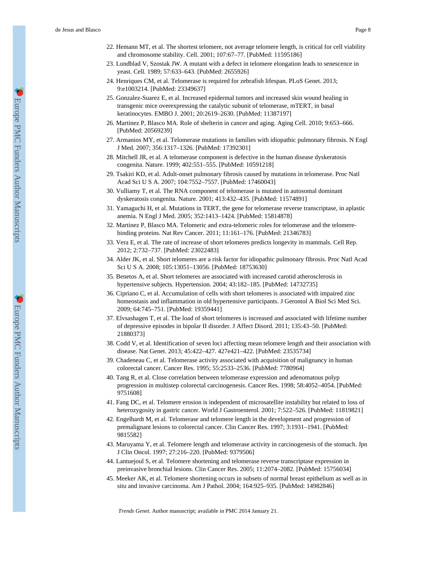- 23. Lundblad V, Szostak JW. A mutant with a defect in telomere elongation leads to senescence in yeast. Cell. 1989; 57:633–643. [PubMed: 2655926]
- 24. Henriques CM, et al. Telomerase is required for zebrafish lifespan. PLoS Genet. 2013; 9:e1003214. [PubMed: 23349637]
- 25. Gonzalez-Suarez E, et al. Increased epidermal tumors and increased skin wound healing in transgenic mice overexpressing the catalytic subunit of telomerase, mTERT, in basal keratinocytes. EMBO J. 2001; 20:2619–2630. [PubMed: 11387197]
- 26. Martinez P, Blasco MA. Role of shelterin in cancer and aging. Aging Cell. 2010; 9:653–666. [PubMed: 20569239]
- 27. Armanios MY, et al. Telomerase mutations in families with idiopathic pulmonary fibrosis. N Engl J Med. 2007; 356:1317–1326. [PubMed: 17392301]
- 28. Mitchell JR, et al. A telomerase component is defective in the human disease dyskeratosis congenita. Nature. 1999; 402:551–555. [PubMed: 10591218]
- 29. Tsakiri KD, et al. Adult-onset pulmonary fibrosis caused by mutations in telomerase. Proc Natl Acad Sci U S A. 2007; 104:7552–7557. [PubMed: 17460043]
- 30. Vulliamy T, et al. The RNA component of telomerase is mutated in autosomal dominant dyskeratosis congenita. Nature. 2001; 413:432–435. [PubMed: 11574891]
- 31. Yamaguchi H, et al. Mutations in TERT, the gene for telomerase reverse transcriptase, in aplastic anemia. N Engl J Med. 2005; 352:1413–1424. [PubMed: 15814878]
- 32. Martinez P, Blasco MA. Telomeric and extra-telomeric roles for telomerase and the telomerebinding proteins. Nat Rev Cancer. 2011; 11:161–176. [PubMed: 21346783]
- 33. Vera E, et al. The rate of increase of short telomeres predicts longevity in mammals. Cell Rep. 2012; 2:732–737. [PubMed: 23022483]
- 34. Alder JK, et al. Short telomeres are a risk factor for idiopathic pulmonary fibrosis. Proc Natl Acad Sci U S A. 2008; 105:13051–13056. [PubMed: 18753630]
- 35. Benetos A, et al. Short telomeres are associated with increased carotid atherosclerosis in hypertensive subjects. Hypertension. 2004; 43:182–185. [PubMed: 14732735]
- 36. Cipriano C, et al. Accumulation of cells with short telomeres is associated with impaired zinc homeostasis and inflammation in old hypertensive participants. J Gerontol A Biol Sci Med Sci. 2009; 64:745–751. [PubMed: 19359441]
- 37. Elvsashagen T, et al. The load of short telomeres is increased and associated with lifetime number of depressive episodes in bipolar II disorder. J Affect Disord. 2011; 135:43–50. [PubMed: 21880373]
- 38. Codd V, et al. Identification of seven loci affecting mean telomere length and their association with disease. Nat Genet. 2013; 45:422–427. 427e421–422. [PubMed: 23535734]
- 39. Chadeneau C, et al. Telomerase activity associated with acquisition of malignancy in human colorectal cancer. Cancer Res. 1995; 55:2533–2536. [PubMed: 7780964]
- 40. Tang R, et al. Close correlation between telomerase expression and adenomatous polyp progression in multistep colorectal carcinogenesis. Cancer Res. 1998; 58:4052–4054. [PubMed: 9751608]
- 41. Fang DC, et al. Telomere erosion is independent of microsatellite instability but related to loss of heterozygosity in gastric cancer. World J Gastroenterol. 2001; 7:522–526. [PubMed: 11819821]
- 42. Engelhardt M, et al. Telomerase and telomere length in the development and progression of premalignant lesions to colorectal cancer. Clin Cancer Res. 1997; 3:1931–1941. [PubMed: 9815582]
- 43. Maruyama Y, et al. Telomere length and telomerase activity in carcinogenesis of the stomach. Jpn J Clin Oncol. 1997; 27:216–220. [PubMed: 9379506]
- 44. Lantuejoul S, et al. Telomere shortening and telomerase reverse transcriptase expression in preinvasive bronchial lesions. Clin Cancer Res. 2005; 11:2074–2082. [PubMed: 15756034]
- 45. Meeker AK, et al. Telomere shortening occurs in subsets of normal breast epithelium as well as in situ and invasive carcinoma. Am J Pathol. 2004; 164:925–935. [PubMed: 14982846]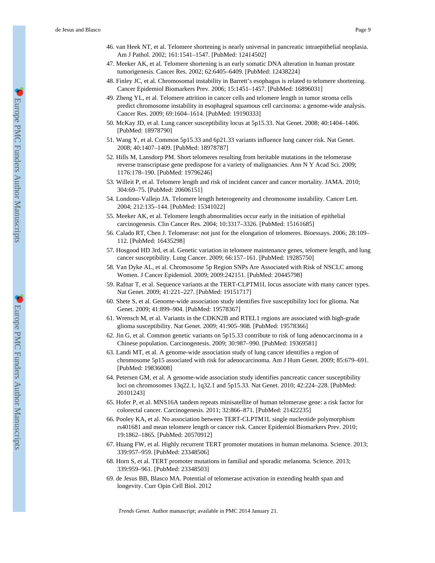- 47. Meeker AK, et al. Telomere shortening is an early somatic DNA alteration in human prostate tumorigenesis. Cancer Res. 2002; 62:6405–6409. [PubMed: 12438224]
- 48. Finley JC, et al. Chromosomal instability in Barrett's esophagus is related to telomere shortening. Cancer Epidemiol Biomarkers Prev. 2006; 15:1451–1457. [PubMed: 16896031]
- 49. Zheng YL, et al. Telomere attrition in cancer cells and telomere length in tumor stroma cells predict chromosome instability in esophageal squamous cell carcinoma: a genome-wide analysis. Cancer Res. 2009; 69:1604–1614. [PubMed: 19190333]
- 50. McKay JD, et al. Lung cancer susceptibility locus at 5p15.33. Nat Genet. 2008; 40:1404–1406. [PubMed: 18978790]
- 51. Wang Y, et al. Common 5p15.33 and 6p21.33 variants influence lung cancer risk. Nat Genet. 2008; 40:1407–1409. [PubMed: 18978787]
- 52. Hills M, Lansdorp PM. Short telomeres resulting from heritable mutations in the telomerase reverse transcriptase gene predispose for a variety of malignancies. Ann N Y Acad Sci. 2009; 1176:178–190. [PubMed: 19796246]
- 53. Willeit P, et al. Telomere length and risk of incident cancer and cancer mortality. JAMA. 2010; 304:69–75. [PubMed: 20606151]
- 54. Londono-Vallejo JA. Telomere length heterogeneity and chromosome instability. Cancer Lett. 2004; 212:135–144. [PubMed: 15341022]
- 55. Meeker AK, et al. Telomere length abnormalities occur early in the initiation of epithelial carcinogenesis. Clin Cancer Res. 2004; 10:3317–3326. [PubMed: 15161685]
- 56. Calado RT, Chen J. Telomerase: not just for the elongation of telomeres. Bioessays. 2006; 28:109– 112. [PubMed: 16435298]
- 57. Hosgood HD 3rd, et al. Genetic variation in telomere maintenance genes, telomere length, and lung cancer susceptibility. Lung Cancer. 2009; 66:157–161. [PubMed: 19285750]
- 58. Van Dyke AL, et al. Chromosome 5p Region SNPs Are Associated with Risk of NSCLC among Women. J Cancer Epidemiol. 2009; 2009:242151. [PubMed: 20445798]
- 59. Rafnar T, et al. Sequence variants at the TERT-CLPTM1L locus associate with many cancer types. Nat Genet. 2009; 41:221–227. [PubMed: 19151717]
- 60. Shete S, et al. Genome-wide association study identifies five susceptibility loci for glioma. Nat Genet. 2009; 41:899–904. [PubMed: 19578367]
- 61. Wrensch M, et al. Variants in the CDKN2B and RTEL1 regions are associated with high-grade glioma susceptibility. Nat Genet. 2009; 41:905–908. [PubMed: 19578366]
- 62. Jin G, et al. Common genetic variants on 5p15.33 contribute to risk of lung adenocarcinoma in a Chinese population. Carcinogenesis. 2009; 30:987–990. [PubMed: 19369581]
- 63. Landi MT, et al. A genome-wide association study of lung cancer identifies a region of chromosome 5p15 associated with risk for adenocarcinoma. Am J Hum Genet. 2009; 85:679–691. [PubMed: 19836008]
- 64. Petersen GM, et al. A genome-wide association study identifies pancreatic cancer susceptibility loci on chromosomes 13q22.1, 1q32.1 and 5p15.33. Nat Genet. 2010; 42:224–228. [PubMed: 20101243]
- 65. Hofer P, et al. MNS16A tandem repeats minisatellite of human telomerase gene: a risk factor for colorectal cancer. Carcinogenesis. 2011; 32:866–871. [PubMed: 21422235]
- 66. Pooley KA, et al. No association between TERT-CLPTM1L single nucleotide polymorphism rs401681 and mean telomere length or cancer risk. Cancer Epidemiol Biomarkers Prev. 2010; 19:1862–1865. [PubMed: 20570912]
- 67. Huang FW, et al. Highly recurrent TERT promoter mutations in human melanoma. Science. 2013; 339:957–959. [PubMed: 23348506]
- 68. Horn S, et al. TERT promoter mutations in familial and sporadic melanoma. Science. 2013; 339:959–961. [PubMed: 23348503]
- 69. de Jesus BB, Blasco MA. Potential of telomerase activation in extending health span and longevity. Curr Opin Cell Biol. 2012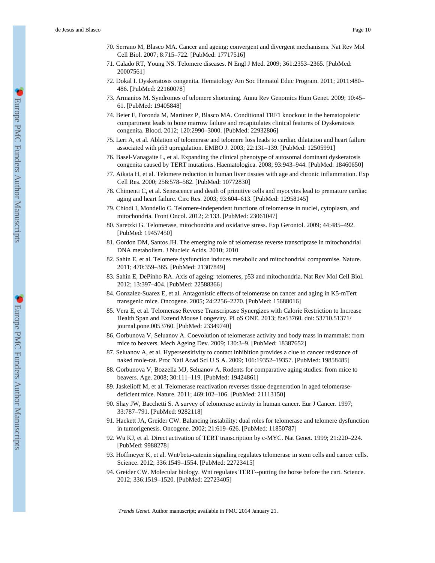- 70. Serrano M, Blasco MA. Cancer and ageing: convergent and divergent mechanisms. Nat Rev Mol Cell Biol. 2007; 8:715–722. [PubMed: 17717516]
- 71. Calado RT, Young NS. Telomere diseases. N Engl J Med. 2009; 361:2353–2365. [PubMed: 20007561]
- 72. Dokal I. Dyskeratosis congenita. Hematology Am Soc Hematol Educ Program. 2011; 2011:480– 486. [PubMed: 22160078]
- 73. Armanios M. Syndromes of telomere shortening. Annu Rev Genomics Hum Genet. 2009; 10:45– 61. [PubMed: 19405848]
- 74. Beier F, Foronda M, Martinez P, Blasco MA. Conditional TRF1 knockout in the hematopoietic compartment leads to bone marrow failure and recapitulates clinical features of Dyskeratosis congenita. Blood. 2012; 120:2990–3000. [PubMed: 22932806]
- 75. Leri A, et al. Ablation of telomerase and telomere loss leads to cardiac dilatation and heart failure associated with p53 upregulation. EMBO J. 2003; 22:131–139. [PubMed: 12505991]
- 76. Basel-Vanagaite L, et al. Expanding the clinical phenotype of autosomal dominant dyskeratosis congenita caused by TERT mutations. Haematologica. 2008; 93:943–944. [PubMed: 18460650]
- 77. Aikata H, et al. Telomere reduction in human liver tissues with age and chronic inflammation. Exp Cell Res. 2000; 256:578–582. [PubMed: 10772830]
- 78. Chimenti C, et al. Senescence and death of primitive cells and myocytes lead to premature cardiac aging and heart failure. Circ Res. 2003; 93:604–613. [PubMed: 12958145]
- 79. Chiodi I, Mondello C. Telomere-independent functions of telomerase in nuclei, cytoplasm, and mitochondria. Front Oncol. 2012; 2:133. [PubMed: 23061047]
- 80. Saretzki G. Telomerase, mitochondria and oxidative stress. Exp Gerontol. 2009; 44:485–492. [PubMed: 19457450]
- 81. Gordon DM, Santos JH. The emerging role of telomerase reverse transcriptase in mitochondrial DNA metabolism. J Nucleic Acids. 2010; 2010
- 82. Sahin E, et al. Telomere dysfunction induces metabolic and mitochondrial compromise. Nature. 2011; 470:359–365. [PubMed: 21307849]
- 83. Sahin E, DePinho RA. Axis of ageing: telomeres, p53 and mitochondria. Nat Rev Mol Cell Biol. 2012; 13:397–404. [PubMed: 22588366]
- 84. Gonzalez-Suarez E, et al. Antagonistic effects of telomerase on cancer and aging in K5-mTert transgenic mice. Oncogene. 2005; 24:2256–2270. [PubMed: 15688016]
- 85. Vera E, et al. Telomerase Reverse Transcriptase Synergizes with Calorie Restriction to Increase Health Span and Extend Mouse Longevity. PLoS ONE. 2013; 8:e53760. doi: 53710.51371/ journal.pone.0053760. [PubMed: 23349740]
- 86. Gorbunova V, Seluanov A. Coevolution of telomerase activity and body mass in mammals: from mice to beavers. Mech Ageing Dev. 2009; 130:3–9. [PubMed: 18387652]
- 87. Seluanov A, et al. Hypersensitivity to contact inhibition provides a clue to cancer resistance of naked mole-rat. Proc Natl Acad Sci U S A. 2009; 106:19352–19357. [PubMed: 19858485]
- 88. Gorbunova V, Bozzella MJ, Seluanov A. Rodents for comparative aging studies: from mice to beavers. Age. 2008; 30:111–119. [PubMed: 19424861]
- 89. Jaskelioff M, et al. Telomerase reactivation reverses tissue degeneration in aged telomerasedeficient mice. Nature. 2011; 469:102–106. [PubMed: 21113150]
- 90. Shay JW, Bacchetti S. A survey of telomerase activity in human cancer. Eur J Cancer. 1997; 33:787–791. [PubMed: 9282118]
- 91. Hackett JA, Greider CW. Balancing instability: dual roles for telomerase and telomere dysfunction in tumorigenesis. Oncogene. 2002; 21:619–626. [PubMed: 11850787]
- 92. Wu KJ, et al. Direct activation of TERT transcription by c-MYC. Nat Genet. 1999; 21:220–224. [PubMed: 9988278]
- 93. Hoffmeyer K, et al. Wnt/beta-catenin signaling regulates telomerase in stem cells and cancer cells. Science. 2012; 336:1549–1554. [PubMed: 22723415]
- 94. Greider CW. Molecular biology. Wnt regulates TERT--putting the horse before the cart. Science. 2012; 336:1519–1520. [PubMed: 22723405]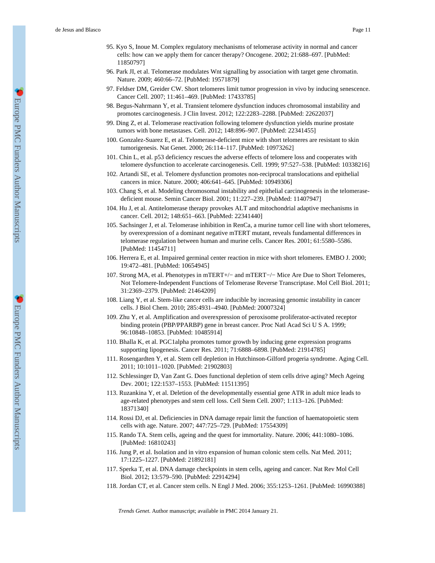- 95. Kyo S, Inoue M. Complex regulatory mechanisms of telomerase activity in normal and cancer cells: how can we apply them for cancer therapy? Oncogene. 2002; 21:688–697. [PubMed: 11850797]
- 96. Park JI, et al. Telomerase modulates Wnt signalling by association with target gene chromatin. Nature. 2009; 460:66–72. [PubMed: 19571879]
- 97. Feldser DM, Greider CW. Short telomeres limit tumor progression in vivo by inducing senescence. Cancer Cell. 2007; 11:461–469. [PubMed: 17433785]
- 98. Begus-Nahrmann Y, et al. Transient telomere dysfunction induces chromosomal instability and promotes carcinogenesis. J Clin Invest. 2012; 122:2283–2288. [PubMed: 22622037]
- 99. Ding Z, et al. Telomerase reactivation following telomere dysfunction yields murine prostate tumors with bone metastases. Cell. 2012; 148:896–907. [PubMed: 22341455]
- 100. Gonzalez-Suarez E, et al. Telomerase-deficient mice with short telomeres are resistant to skin tumorigenesis. Nat Genet. 2000; 26:114–117. [PubMed: 10973262]
- 101. Chin L, et al. p53 deficiency rescues the adverse effects of telomere loss and cooperates with telomere dysfunction to accelerate carcinogenesis. Cell. 1999; 97:527–538. [PubMed: 10338216]
- 102. Artandi SE, et al. Telomere dysfunction promotes non-reciprocal translocations and epithelial cancers in mice. Nature. 2000; 406:641–645. [PubMed: 10949306]
- 103. Chang S, et al. Modeling chromosomal instability and epithelial carcinogenesis in the telomerasedeficient mouse. Semin Cancer Biol. 2001; 11:227–239. [PubMed: 11407947]
- 104. Hu J, et al. Antitelomerase therapy provokes ALT and mitochondrial adaptive mechanisms in cancer. Cell. 2012; 148:651–663. [PubMed: 22341440]
- 105. Sachsinger J, et al. Telomerase inhibition in RenCa, a murine tumor cell line with short telomeres, by overexpression of a dominant negative mTERT mutant, reveals fundamental differences in telomerase regulation between human and murine cells. Cancer Res. 2001; 61:5580–5586. [PubMed: 11454711]
- 106. Herrera E, et al. Impaired germinal center reaction in mice with short telomeres. EMBO J. 2000; 19:472–481. [PubMed: 10654945]
- 107. Strong MA, et al. Phenotypes in mTERT+/− and mTERT−/− Mice Are Due to Short Telomeres, Not Telomere-Independent Functions of Telomerase Reverse Transcriptase. Mol Cell Biol. 2011; 31:2369–2379. [PubMed: 21464209]
- 108. Liang Y, et al. Stem-like cancer cells are inducible by increasing genomic instability in cancer cells. J Biol Chem. 2010; 285:4931–4940. [PubMed: 20007324]
- 109. Zhu Y, et al. Amplification and overexpression of peroxisome proliferator-activated receptor binding protein (PBP/PPARBP) gene in breast cancer. Proc Natl Acad Sci U S A. 1999; 96:10848–10853. [PubMed: 10485914]
- 110. Bhalla K, et al. PGC1alpha promotes tumor growth by inducing gene expression programs supporting lipogenesis. Cancer Res. 2011; 71:6888–6898. [PubMed: 21914785]
- 111. Rosengardten Y, et al. Stem cell depletion in Hutchinson-Gilford progeria syndrome. Aging Cell. 2011; 10:1011–1020. [PubMed: 21902803]
- 112. Schlessinger D, Van Zant G. Does functional depletion of stem cells drive aging? Mech Ageing Dev. 2001; 122:1537–1553. [PubMed: 11511395]
- 113. Ruzankina Y, et al. Deletion of the developmentally essential gene ATR in adult mice leads to age-related phenotypes and stem cell loss. Cell Stem Cell. 2007; 1:113–126. [PubMed: 18371340]
- 114. Rossi DJ, et al. Deficiencies in DNA damage repair limit the function of haematopoietic stem cells with age. Nature. 2007; 447:725–729. [PubMed: 17554309]
- 115. Rando TA. Stem cells, ageing and the quest for immortality. Nature. 2006; 441:1080–1086. [PubMed: 16810243]
- 116. Jung P, et al. Isolation and in vitro expansion of human colonic stem cells. Nat Med. 2011; 17:1225–1227. [PubMed: 21892181]
- 117. Sperka T, et al. DNA damage checkpoints in stem cells, ageing and cancer. Nat Rev Mol Cell Biol. 2012; 13:579–590. [PubMed: 22914294]
- 118. Jordan CT, et al. Cancer stem cells. N Engl J Med. 2006; 355:1253–1261. [PubMed: 16990388]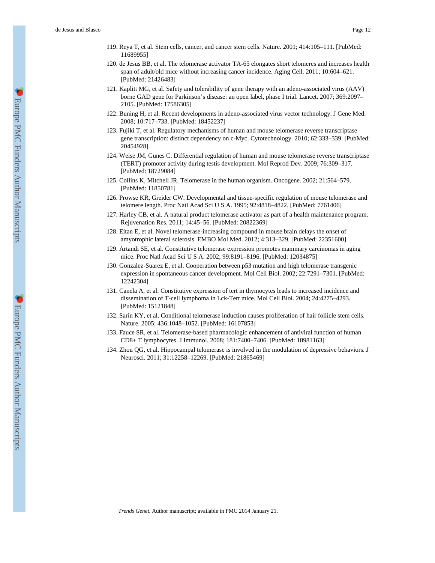- 119. Reya T, et al. Stem cells, cancer, and cancer stem cells. Nature. 2001; 414:105–111. [PubMed: 11689955]
- 120. de Jesus BB, et al. The telomerase activator TA-65 elongates short telomeres and increases health span of adult/old mice without increasing cancer incidence. Aging Cell. 2011; 10:604–621. [PubMed: 21426483]
- 121. Kaplitt MG, et al. Safety and tolerability of gene therapy with an adeno-associated virus (AAV) borne GAD gene for Parkinson's disease: an open label, phase I trial. Lancet. 2007; 369:2097– 2105. [PubMed: 17586305]
- 122. Buning H, et al. Recent developments in adeno-associated virus vector technology. J Gene Med. 2008; 10:717–733. [PubMed: 18452237]
- 123. Fujiki T, et al. Regulatory mechanisms of human and mouse telomerase reverse transcriptase gene transcription: distinct dependency on c-Myc. Cytotechnology. 2010; 62:333–339. [PubMed: 20454928]
- 124. Weise JM, Gunes C. Differential regulation of human and mouse telomerase reverse transcriptase (TERT) promoter activity during testis development. Mol Reprod Dev. 2009; 76:309–317. [PubMed: 18729084]
- 125. Collins K, Mitchell JR. Telomerase in the human organism. Oncogene. 2002; 21:564–579. [PubMed: 11850781]
- 126. Prowse KR, Greider CW. Developmental and tissue-specific regulation of mouse telomerase and telomere length. Proc Natl Acad Sci U S A. 1995; 92:4818–4822. [PubMed: 7761406]
- 127. Harley CB, et al. A natural product telomerase activator as part of a health maintenance program. Rejuvenation Res. 2011; 14:45–56. [PubMed: 20822369]
- 128. Eitan E, et al. Novel telomerase-increasing compound in mouse brain delays the onset of amyotrophic lateral sclerosis. EMBO Mol Med. 2012; 4:313–329. [PubMed: 22351600]
- 129. Artandi SE, et al. Constitutive telomerase expression promotes mammary carcinomas in aging mice. Proc Natl Acad Sci U S A. 2002; 99:8191–8196. [PubMed: 12034875]
- 130. Gonzalez-Suarez E, et al. Cooperation between p53 mutation and high telomerase transgenic expression in spontaneous cancer development. Mol Cell Biol. 2002; 22:7291–7301. [PubMed: 12242304]
- 131. Canela A, et al. Constitutive expression of tert in thymocytes leads to increased incidence and dissemination of T-cell lymphoma in Lck-Tert mice. Mol Cell Biol. 2004; 24:4275–4293. [PubMed: 15121848]
- 132. Sarin KY, et al. Conditional telomerase induction causes proliferation of hair follicle stem cells. Nature. 2005; 436:1048–1052. [PubMed: 16107853]
- 133. Fauce SR, et al. Telomerase-based pharmacologic enhancement of antiviral function of human CD8+ T lymphocytes. J Immunol. 2008; 181:7400–7406. [PubMed: 18981163]
- 134. Zhou QG, et al. Hippocampal telomerase is involved in the modulation of depressive behaviors. J Neurosci. 2011; 31:12258–12269. [PubMed: 21865469]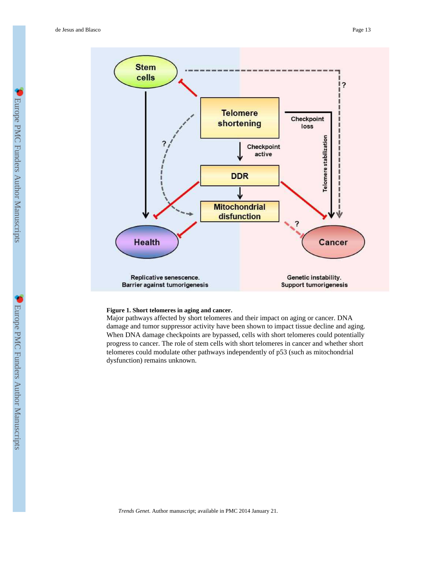

#### **Figure 1. Short telomeres in aging and cancer.**

Major pathways affected by short telomeres and their impact on aging or cancer. DNA damage and tumor suppressor activity have been shown to impact tissue decline and aging. When DNA damage checkpoints are bypassed, cells with short telomeres could potentially progress to cancer. The role of stem cells with short telomeres in cancer and whether short telomeres could modulate other pathways independently of p53 (such as mitochondrial dysfunction) remains unknown.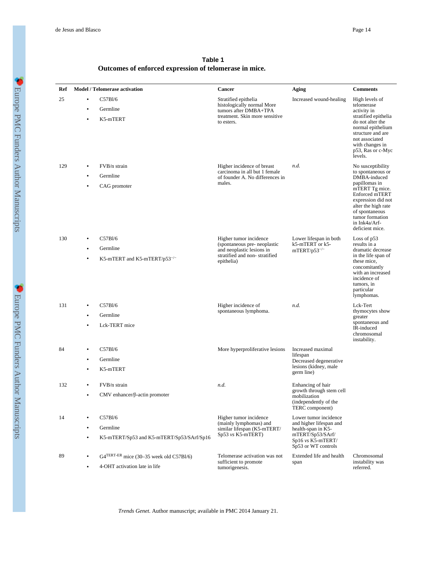de Jesus and Blasco Page 14

| Ref | <b>Model / Telomerase activation</b>                                                                   | Cancer                                                                                                                             | Aging                                                                                                                                  | <b>Comments</b>                                                                                                                                                                                                                   |  |  |  |  |  |
|-----|--------------------------------------------------------------------------------------------------------|------------------------------------------------------------------------------------------------------------------------------------|----------------------------------------------------------------------------------------------------------------------------------------|-----------------------------------------------------------------------------------------------------------------------------------------------------------------------------------------------------------------------------------|--|--|--|--|--|
| 25  | C57B1/6<br>$\bullet$<br>Germline<br>$\bullet$<br>K5-mTERT<br>٠                                         | Stratified epithelia<br>histologically normal More<br>tumors after DMBA+TPA<br>treatment. Skin more sensitive<br>to esters.        | Increased wound-healing                                                                                                                | High levels of<br>telomerase<br>activity in<br>stratified epithelia<br>do not alter the<br>normal epithelium<br>structure and are<br>not associated<br>with changes in<br>p53, Ras or c-Myc<br>levels.                            |  |  |  |  |  |
| 129 | FVB/n strain<br>$\bullet$<br>Germline<br>CAG promoter<br>$\bullet$                                     | Higher incidence of breast<br>carcinoma in all but 1 female<br>of founder A. No differences in<br>males.                           | n.d.                                                                                                                                   | No susceptibility<br>to spontaneous or<br>DMBA-induced<br>papillomas in<br>mTERT Tg mice.<br>Enforced mTERT<br>expression did not<br>alter the high rate<br>of spontaneous<br>tumor formation<br>in Ink4a/Arf-<br>deficient mice. |  |  |  |  |  |
| 130 | C57Bl/6<br>$\bullet$<br>Germline<br>$\bullet$<br>K5-mTERT and K5-mTERT/p53 <sup>-/-</sup><br>$\bullet$ | Higher tumor incidence<br>(spontaneous pre- neoplastic<br>and neoplastic lesions in<br>stratified and non-stratified<br>epithelia) | Lower lifespan in both<br>k5-mTERT or k5-<br>$mTERT/p53^{-/-}$                                                                         | Loss of p53<br>results in a<br>dramatic decrease<br>in the life span of<br>these mice,<br>concomitantly<br>with an increased<br>incidence of<br>tumors, in<br>particular<br>lymphomas.                                            |  |  |  |  |  |
| 131 | C57B1/6<br>Germline<br>Lck-TERT mice                                                                   | Higher incidence of<br>spontaneous lymphoma.                                                                                       | n.d.                                                                                                                                   | Lck-Tert<br>thymocytes show<br>greater<br>spontaneous and<br>IR-induced<br>chromosomal<br>instability.                                                                                                                            |  |  |  |  |  |
| 84  | C57Bl/6<br>٠<br>Germline<br>$\bullet$<br>K5-mTERT<br>٠                                                 | More hyperproliferative lesions                                                                                                    | Increased maximal<br>lifespan<br>Decreased degenerative<br>lesions (kidney, male<br>germ line)                                         |                                                                                                                                                                                                                                   |  |  |  |  |  |
| 132 | FVB/n strain<br>$CMV$ enhancer/ $\beta$ -actin promoter                                                | n.d.                                                                                                                               | Enhancing of hair<br>growth through stem cell<br>mobilization<br>(independently of the<br>TERC component)                              |                                                                                                                                                                                                                                   |  |  |  |  |  |
| 14  | C57Bl/6<br>Germline<br>$\bullet$<br>K5-mTERT/Sp53 and K5-mTERT/Sp53/SArf/Sp16<br>$\bullet$             | Higher tumor incidence<br>(mainly lymphomas) and<br>similar lifespan (K5-mTERT/<br>Sp53 vs K5-mTERT)                               | Lower tumor incidence<br>and higher lifespan and<br>health-span in K5-<br>mTERT/Sp53/SArf/<br>Sp16 vs K5-mTERT/<br>Sp53 or WT controls |                                                                                                                                                                                                                                   |  |  |  |  |  |
| 89  | $G4^{TERT-ER}$ mice (30–35 week old C57Bl/6)<br>4-OHT activation late in life                          | Telomerase activation was not<br>sufficient to promote<br>tumorigenesis.                                                           | Extended life and health<br>span                                                                                                       | Chromosomal<br>instability was<br>referred.                                                                                                                                                                                       |  |  |  |  |  |

**Table 1 Outcomes of enforced expression of telomerase in mice.**